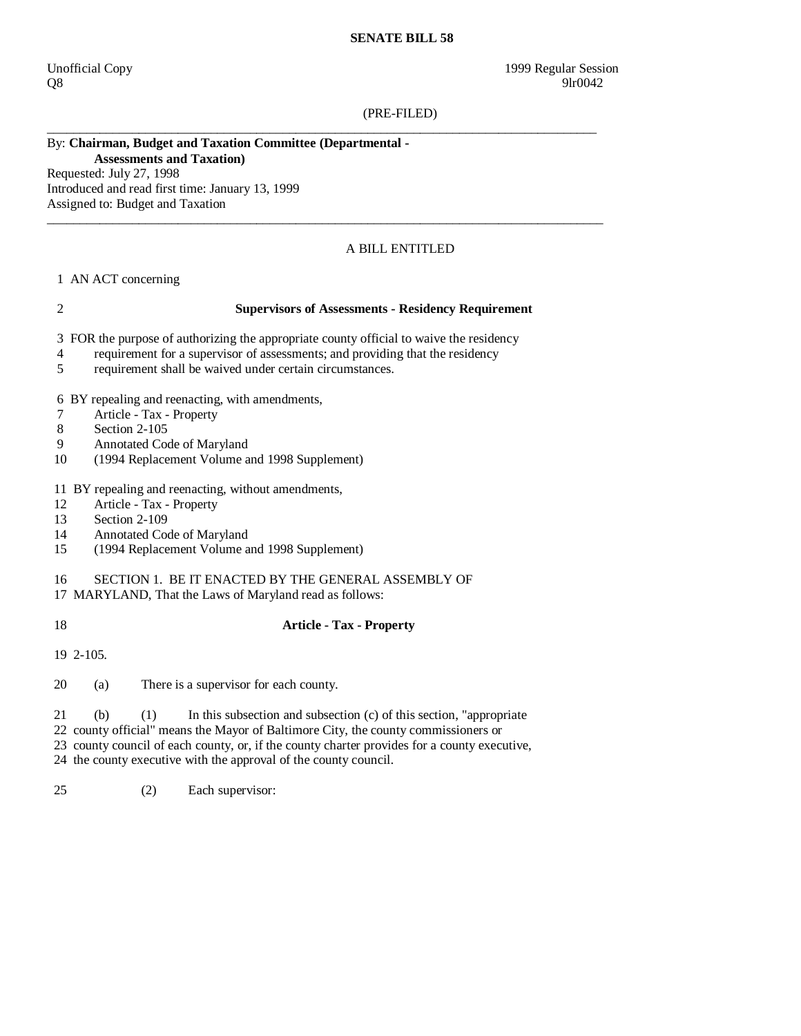#### **SENATE BILL 58**

 $\sqrt{Q}8$  9lr0042

### (PRE-FILED)

\_\_\_\_\_\_\_\_\_\_\_\_\_\_\_\_\_\_\_\_\_\_\_\_\_\_\_\_\_\_\_\_\_\_\_\_\_\_\_\_\_\_\_\_\_\_\_\_\_\_\_\_\_\_\_\_\_\_\_\_\_\_\_\_\_\_\_\_\_\_\_\_\_\_\_\_\_\_\_\_\_\_\_\_

 $\_$  ,  $\_$  ,  $\_$  ,  $\_$  ,  $\_$  ,  $\_$  ,  $\_$  ,  $\_$  ,  $\_$  ,  $\_$  ,  $\_$  ,  $\_$  ,  $\_$  ,  $\_$  ,  $\_$  ,  $\_$  ,  $\_$  ,  $\_$  ,  $\_$  ,  $\_$  ,  $\_$  ,  $\_$  ,  $\_$  ,  $\_$  ,  $\_$  ,  $\_$  ,  $\_$  ,  $\_$  ,  $\_$  ,  $\_$  ,  $\_$  ,  $\_$  ,  $\_$  ,  $\_$  ,  $\_$  ,  $\_$  ,  $\_$  ,

## By: **Chairman, Budget and Taxation Committee (Departmental - Assessments and Taxation)**

Requested: July 27, 1998 Introduced and read first time: January 13, 1999 Assigned to: Budget and Taxation

## A BILL ENTITLED

#### 1 AN ACT concerning

# 2 **Supervisors of Assessments - Residency Requirement**

- 3 FOR the purpose of authorizing the appropriate county official to waive the residency
- 4 requirement for a supervisor of assessments; and providing that the residency
- 5 requirement shall be waived under certain circumstances.

6 BY repealing and reenacting, with amendments,

- 7 Article Tax Property
- 8 Section 2-105
- 9 Annotated Code of Maryland
- 10 (1994 Replacement Volume and 1998 Supplement)

11 BY repealing and reenacting, without amendments,

- 12 Article Tax Property
- 13 Section 2-109
- 14 Annotated Code of Maryland
- 15 (1994 Replacement Volume and 1998 Supplement)

16 SECTION 1. BE IT ENACTED BY THE GENERAL ASSEMBLY OF

- 17 MARYLAND, That the Laws of Maryland read as follows:
- 

## 18 **Article - Tax - Property**

19 2-105.

20 (a) There is a supervisor for each county.

21 (b) (1) In this subsection and subsection (c) of this section, "appropriate

22 county official" means the Mayor of Baltimore City, the county commissioners or

23 county council of each county, or, if the county charter provides for a county executive,

24 the county executive with the approval of the county council.

25 (2) Each supervisor: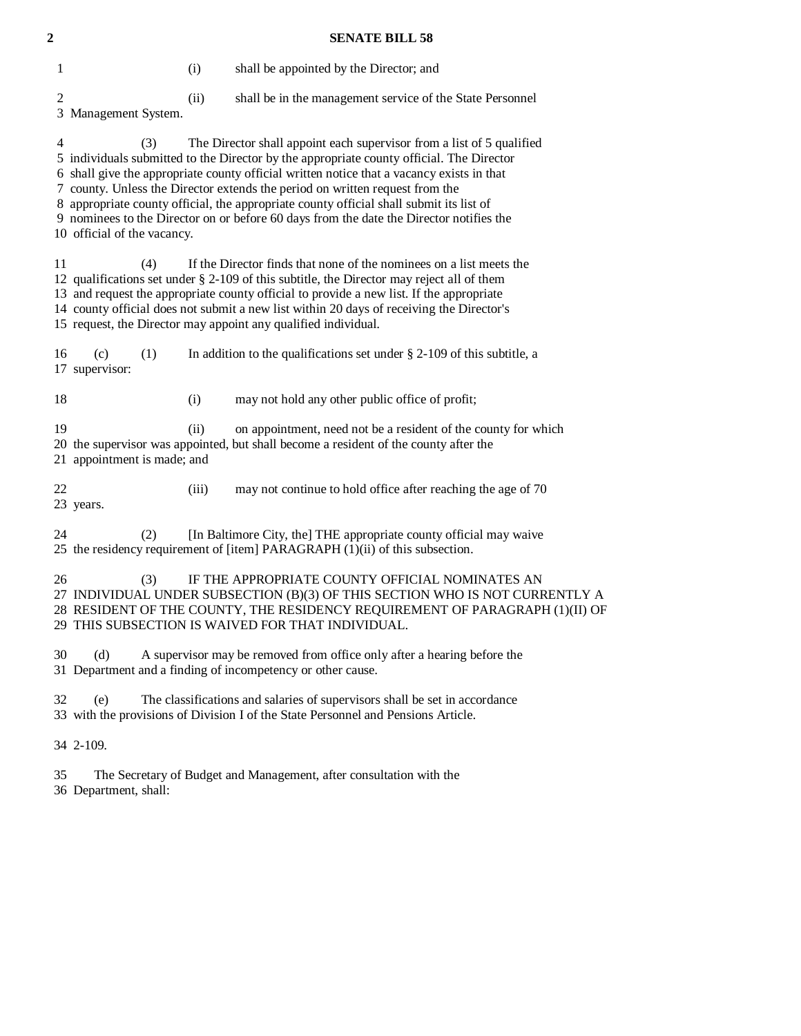| $\mathbf 2$    |                                                                                                                                                                                                                                                                                                                                                                                                                                                                                                                                                                            |       | <b>SENATE BILL 58</b>                                                                                                                                                                                                                                                |
|----------------|----------------------------------------------------------------------------------------------------------------------------------------------------------------------------------------------------------------------------------------------------------------------------------------------------------------------------------------------------------------------------------------------------------------------------------------------------------------------------------------------------------------------------------------------------------------------------|-------|----------------------------------------------------------------------------------------------------------------------------------------------------------------------------------------------------------------------------------------------------------------------|
| 1              |                                                                                                                                                                                                                                                                                                                                                                                                                                                                                                                                                                            | (i)   | shall be appointed by the Director; and                                                                                                                                                                                                                              |
| $\overline{c}$ | 3 Management System.                                                                                                                                                                                                                                                                                                                                                                                                                                                                                                                                                       | (ii)  | shall be in the management service of the State Personnel                                                                                                                                                                                                            |
| 4              | The Director shall appoint each supervisor from a list of 5 qualified<br>(3)<br>5 individuals submitted to the Director by the appropriate county official. The Director<br>6 shall give the appropriate county official written notice that a vacancy exists in that<br>7 county. Unless the Director extends the period on written request from the<br>8 appropriate county official, the appropriate county official shall submit its list of<br>9 nominees to the Director on or before 60 days from the date the Director notifies the<br>10 official of the vacancy. |       |                                                                                                                                                                                                                                                                      |
| 11             | If the Director finds that none of the nominees on a list meets the<br>(4)<br>12 qualifications set under § 2-109 of this subtitle, the Director may reject all of them<br>13 and request the appropriate county official to provide a new list. If the appropriate<br>14 county official does not submit a new list within 20 days of receiving the Director's<br>15 request, the Director may appoint any qualified individual.                                                                                                                                          |       |                                                                                                                                                                                                                                                                      |
| 16             | (c)<br>(1)<br>17 supervisor:                                                                                                                                                                                                                                                                                                                                                                                                                                                                                                                                               |       | In addition to the qualifications set under $\S$ 2-109 of this subtitle, a                                                                                                                                                                                           |
| 18             |                                                                                                                                                                                                                                                                                                                                                                                                                                                                                                                                                                            | (i)   | may not hold any other public office of profit;                                                                                                                                                                                                                      |
| 19             | 21 appointment is made; and                                                                                                                                                                                                                                                                                                                                                                                                                                                                                                                                                | (ii)  | on appointment, need not be a resident of the county for which<br>20 the supervisor was appointed, but shall become a resident of the county after the                                                                                                               |
| 22             | 23 years.                                                                                                                                                                                                                                                                                                                                                                                                                                                                                                                                                                  | (iii) | may not continue to hold office after reaching the age of 70                                                                                                                                                                                                         |
| 24             | (2)                                                                                                                                                                                                                                                                                                                                                                                                                                                                                                                                                                        |       | [In Baltimore City, the] THE appropriate county official may waive<br>25 the residency requirement of [item] PARAGRAPH (1)(ii) of this subsection.                                                                                                                   |
| 26             | (3)                                                                                                                                                                                                                                                                                                                                                                                                                                                                                                                                                                        |       | IF THE APPROPRIATE COUNTY OFFICIAL NOMINATES AN<br>27 INDIVIDUAL UNDER SUBSECTION (B)(3) OF THIS SECTION WHO IS NOT CURRENTLY A<br>28 RESIDENT OF THE COUNTY, THE RESIDENCY REQUIREMENT OF PARAGRAPH (1)(II) OF<br>29 THIS SUBSECTION IS WAIVED FOR THAT INDIVIDUAL. |
| 30             | (d)                                                                                                                                                                                                                                                                                                                                                                                                                                                                                                                                                                        |       | A supervisor may be removed from office only after a hearing before the<br>31 Department and a finding of incompetency or other cause.                                                                                                                               |
| 32             | (e)                                                                                                                                                                                                                                                                                                                                                                                                                                                                                                                                                                        |       | The classifications and salaries of supervisors shall be set in accordance<br>33 with the provisions of Division I of the State Personnel and Pensions Article.                                                                                                      |
|                | 34 2-109.                                                                                                                                                                                                                                                                                                                                                                                                                                                                                                                                                                  |       |                                                                                                                                                                                                                                                                      |

 35 The Secretary of Budget and Management, after consultation with the 36 Department, shall: